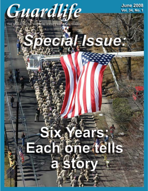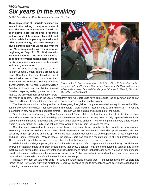### *TAG'S MESSAGE Six years in the making*

*By Maj. Gen. Glenn K. Rieth, The Adjutant General - New Jersey*

**This special issue of Guardlife has been six years in the making. It captures some of what the New Jersey National Guard has been doing to protect the lives, properties and freedoms of the citizens of our state and nation. While incomplete by necessity and brief by practicality, this issue attempts to give a glimpse into who we are and what we do. More dramatically, with the timeframe beginning on Sept. 11 2001, it shows who we have become…and how we have responded to terrorist attacks, homeland security challenges, war zone deployments and much, much more.**

As this issue is being prepared, the 50th Infantry Brigade Combat Team is preparing to depart New Jersey for a year-long deployment that will take them to Texas…and then Iraq. With our second Embedded Training Team still in Afghanistan, our General Support Aviation Battalion in Kuwait, and our Aviation Assault Battalion preparing to deploy a second time to Iraq, we are at the forefront of our nation's Glo-



*Governor Jon S. Corzine congratulates Maj. Gen. Glenn K. Rieth after administering the oath of office at the New Jersey Department of Military and Veterans Affairs while his wife Linda and their daughter Erika watch. Photo by Tech. Sgt. Mark Olsen, NJDMAVA/PA.*

bal War on Terrorism. Through the years, Airmen from both Air Guard units have deployed to Iraq and Afghanistan as part of Air Expeditionary Force rotations…and will no doubt return before this conflict is over.

The Transformation that the Army and Air has been going through has brought us new missions, equipment and abilities. Take a look at our brand new – not secondhand, like before – Light Medium Tactical Vehicles and HMMWVs. The Air side is ushering in new missions and updated aircraft. Together, we are training and equipping for the future.

Take the time to read about *your* New Jersey National Guard. Take a look at the map that illustrates the locations worldwide where our units and individual deployers have been. Believe me, the map does not fully capture the breadth and depth of our contributions nationwide and overseas…but it gives you an idea. If we were to point out every single location where a Jersey Airman or Soldier has set foot, there wouldn't be any room left to see the map.

Over the period covered in this magazine, we have consistently shown ourselves to be a world-class organization. Before any crisis arises, we have proven to be poised, prepared and mission-ready. When called up, we have demonstrated our ability to train up, suit up and load up. When the mobilization order comes, we show a penchant for rapid deployment and quick theater integration. While in theater, the Jersey Guard has earned a reputation for its skill and professionalism. There is no better proof that we can do the job, than the fact that we did it...time and time again!

While limited to a six-year period, this publication tells a story that reflects a proud tradition and history. To all the men and women that have made this history possible, I say thank you. Because, for all the new equipment, vehicles and aircraft that have been arriving daily into our inventories, it is the Soldier and Airman that get the job done. Your spirit, determination, can-do attitude and resilience are the reasons for our success. I'd like to also thank the families, friends and loved ones who have helped share the burden of our increased operational tempo.

Whatever the next six years will bring – or what the future holds beyond that – I am confident that the Soldiers and Airmen of the New Jersey Army and Air National Guard will continue to rise to any challenge and carry on the good work of protecting our communities, state and nation.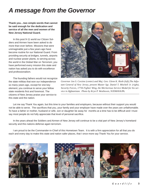## *A message from the Governor*

**Thank you…two simple words that cannot be said enough for the dedication and service of all the men and women of the New Jersey National Guard.**

In this post 9-11 world our Citizen Soldiers and Airmen have been asked to do more than ever before. Missions that were unimaginable just a few years ago have become routine for our National Guard. From providing security at bridges, tunnels, airports and nuclear power plants, to serving across the world in the Global War on Terrorism; you have performed every mission this state and nation has asked you to do with excellence and professionalism.

The founding fathers would not recognize the state militias that won our independence so many years ago, except for one key element; you continue to serve your fellow state residents first and foremost. The citizens of New Jersey praise your service to this state and the nation.



*Governor Jon S. Corzine (center) and Maj. Gen. Glenn K. Rieth (left),The Adjutant General of New Jersey, present Master Sgt. Daniel T. Mitchell Jr. (right), Security Forces, 177th Fighter Wing, the Meritorious Service Medal for his service in Afghanistan. Photo by Kryn P. Westhoven, NJDMAVA/PA.*

Let me say Thank You again, but this time to your families and employers, because without their support you would not be able to serve. The sacrifices that you, your family and your employer have made over the years are unfathomable. To have a father or mother, husband or wife, son or daughter be away for months at a time has to be difficult and I must say most people do not fully appreciate that level of personal sacrifice.

In the years ahead the Soldiers and Airmen of New Jersey will continue to be a vital part of New Jersey's homeland security and this nations defense again terrorism.

I am proud to be the Commander-in-Chief of this Hometown Team. It is with a firm appreciation for all that you do each and every day to make this state and nation safer places, that I once more say Thank You for your service.





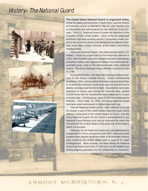## History– The National Guard



**The United States National Guard, or organized militia,** of the 54 states and territories, Puerto Rico, and the District of Columbia, active as defined in Title 32, USC Section 101 is maintained and administered by the National Guard Bureau. The D.C. National Guard is under the direction of the President of the United States. Each of the 54 states and territories has both an Army and Air Component under control of the Governor and is commanded by an Adjutant General, most often a Major General, at the state's Joint Force Headquarters.

The Army National Guard - the oldest branch of the U.S. military - traces its origins back to the American colonies in 1636, when English colonists needed to protect themselves and drew civilians into organized militias, from which are descended some units of the Massachusetts Army National Guard. The Army National Guard officially received its title in 1798.

During World War I, the National Guard provided 40 percent of the Army's combat forces. Guard membership doubled in 1940, and provided 19 divisions during World War II, of which the National Guard units were among the first to deploy overseas and the first to fight. Guardsmen were also deployed to Korea and during the Vietnam War, almost 23,000 Army and Air Guardsmen were called up for a year of active duty. Of that group, some 8,700 were deployed to Vietnam. Since Sept. 11, 2001, the Army National Guard has been used extensively in Afghanistan and Iraq.

The Air National Guard (ANG), often referred to as the Air Guard, is part of the United States National Guard and a reserve component of the United States Air Force. Like the Army National Guard, the Air Guard is administered by the National Guard Bureau and may be activated by either the President of the United States or the governor of the state in which it is located.

Although the Air National Guard was not established as a separate Air Force component until 1947, National Guard aviators have played significant roles in all twentieth century wars involving the United States and in most of its major contingencies. More recently, the New Jersey Air National Guard has flown more than 17,000 hours in the Middle East during ongoing operations for the Global War on Terrorism.

## ARMORY MORRISTOWN N.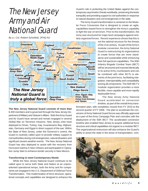## The New Jersey Army and Air National Guard

*By Lt. Col. Robert Schofield, JFHQ-NJ*



**The New Jersey National Guard consists of more than** 8,300 members and is governed through the New Jersey Department of Military and Veteran's Affairs. Both the Army Guard and Air Guard have served and remain engaged in several Global War on Terrorism missions. New Jersey units have deployed to Oman, Turkey, Iraq, Guantanamo Bay, Afghanistan, Germany and Egypt in direct support of the war. Within the State of New Jersey, under the Governor's control, the Guard is routinely called upon to provide military support to civil authorities during civil emergencies, natural disasters and significant severe weather events. The New Jersey National Guard has also deployed to assist with the recovery from Hurricane Katrina in New Orleans and participated in Operation Jump Start to enhance border security in New Mexico.

#### **Transforming to meet Contemporary Needs**

While the New Jersey National Guard continues to be called upon to serve both State and Nation at an unprecedented operational tempo, both the Army and Air components are engaged in the U.S. Department of Defense Force Transformation. This modernization of force structure, operational concepts and capabilities are designed to enhance the

Guard's role in protecting the United States against the contemporary asymmetric threats worldwide, preserving domestic tranquility and providing support to civil authorities in response to natural disasters and civil emergencies in the state.

The Army Guard transformation is centered on the Modular Force Conversion that is designed to create an agile, capabilities-based force to strengthen the Army's capability to fight the war on terrorism. Prior to this transformation, the Army was structured for major land campaigns against similarly organized forces. Recent experience shows that this is

> not the optimal structure for the threats of the 21st century. As part of the Army's modular conversion, the Army National Guard is restructuring its organizations to create forces that are more standalone and sustainable while enhancing their full-spectrum capabilities. The 50th Infantry Brigade Combat Team (IBCT) will be structured and manned identically to its active Army counterparts and can be combined with other BCTs or elements of the joint force, facilitating integration, interoperability and compatibility among all components. The 50th IBCT's modular organization provides a more flexible, more capable and more rapidly deployable force.

> The New Jersey Army National Guard accelerated its conversion timeline, as part of the overall Army trans-

formation plan, with completion moved from FY 2010 to the second quarter of FY 2008. The plan to accelerate the conversion of Army National Guard forces was officially approved as a part of the Army Campaign Plan and coincides with the deployment of the 50th IBCT. The accelerated conversion timeline also enabled New Jersey to acquire additional force structure and critical capabilities not organic to a modular IBCT. The organizational restructure will also enhance the Guard's ability to assist the state in the areas of transportation, com-

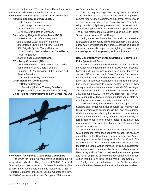munication and security. The transformed New Jersey Army National Guard force structure is listed below.

#### *New Jersey Army National Guard Major Commands*

**42nd Regional Support Group (RSG)** 119th Support Battalion 253rd Transportation Company 150th Chemical Company 154th Water Purification Company

#### **50th Infantry Brigade Combat Team (IBCT)**

1st Battalion 114th Infantry Regiment 2nd Battalion 113th Infantry Regiment 3rd Battalion 112th Field Artillery Regiment 50th Brigade Special Troops Battalion 102nd Battalion (Reconnaissance, Surveillance, Target Acquisition) 250th Brigade Support Battalion

#### **57th Troop Command (TC)**

218th Military Police Detachment Law & Order 328th Military Police Guard Company Company C(-) 1st Battalion, 224th Support and Service Battalion 110th Engineer Utility Detachment

#### **254th Regiment (Combat Arms)**

1st Battalion (Infantry) 2nd Battalion (Modular Training Battalion) Regional Training Site - Maintenance (RTS-M) **Joint Training, Training Development Center (JT2DC)**



#### *New Jersey Air National Guard Major Commands*

The 108th Air Refueling Wing provides aerial refueling support worldwide. They fly the KC-135 R-model Stratotanker and are based at McGuire Air Force Base. The 108th's major subordinate elements include the 141st Air Refueling Squadron, the 227th Special Operations Flight, the 108th Contingency Response Group and 204th Mobility

Air Force Intelligence Squadron.

The 177th Fighter Wing or the "Jersey Devils" is stationed at the Atlantic City International Airport. The 177th provides combat ready Airmen, aircraft and equipment for worldwide deployment in support of U.S. Air Force objectives. The Fighter Wing is made up of primarily F-16 Block-30 C/D aircraft which they fly to support the Air Sovereignty Alert (ASA) mission. The 177th's major subordinate units include the 119th Fighter Squadron and Warren Grove Range.

During statewide missions the 108th and 177th are tasked to protect life and property, provide disaster relief, and ensure public safety by deploying their unique capabilities including hazardous materials response, fire fighting, explosive ordnance disposal, civil engineering and security forces.

#### **New Generation Warrior: from Strategic Reserve to a Fully Operational Force**

In the initial seven years since the terrorist attacks on the American homeland, more than 6,000 New Jersey National Guard Soldiers and Airmen have been deployed in support of Operations', Noble Eagle, Enduring Freedom and Iraqi Freedom. Virtually all other Soldiers and Airmen have taken part in domestic operations ranging from infrastructure security, response to severe weather events in New Jersey as well as the hurricane ravished Gulf Coast region and border security in the Southwest. Between Sept. 11, 2001 and June 30, 2007, nearly 100 percent of the New Jersey National Guard have served on federal and/or state active duty in service to community, state and nation.

The New Jersey National Guard is made up of Citizen-Soldiers and Airmen who train regularly but maintain fulltime professions and occupations in their own communities. While they may be called up for domestic or international duties, the commitments they make are fundamentally different from those of their counterparts in the active-duty military forces, who for a stated period are full-time military career professionals.

While this is not the first time that New Jersey National Guard personnel have been deployed abroad, the missions undertaken by the New Jersey Citizen-Soldiers and Airmen are truly unique in the history of the Jersey Guard. This Guardlife Special Issue presents a picture of those who have fought in the Global War on Terrorism. It is also an account of the dedication and commitment of the men and women of the New Jersey National Guard in their service to community, state and nation beginning at the moment American Airlines Flight 11 flew into the North Tower of the World Trade Center.

Finally, this issue is dedicated to the Soldiers and Airmen of the New Jersey National Guard and their families.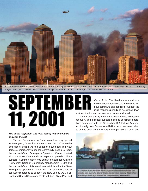

*A 1st Battalion, 150th Aviation UH-60 Blackhawk, from Army Aviation Support Facility #1, based in West Trenton, surveys the destruction of*

SEPTEMB

*the World Trade Center on the afternoon of Sept. 11, 2001. Photo by Tech. Sgt. Mark Olsen, NJDMAVA/PA.*

Caven Point. The Headquarters and subordinate operations centers maintained 24 hour command and control throughout the initial response period and were stood down as the situation and mission requirements allowed.

Nearly every Army and Air unit, was involved in security, recovery, and logistical support missions or military operations connected with the September 11 Attack on America. Additionally, New Jersey Naval Militia personnel were called to duty to augment the Emergency Operations Center and

#### *The initial response: The New Jersey National Guard answers the call*

11, 2001

The New Jersey National Guard instantaneously opened its Emergency Operations Center at Fort Dix 24/7 once the emergency began. As the situation developed and New Jersey's emergency response community began to react, the National Guard Emergency Operations Center directed all of the Major Commands to prepare to provide military support. Communication was quickly established with the New Jersey Office of Emergency Management (OEM) and the National Guard liaison cell was established at the State Emergency Operations Center (EOC). Additionally a liaison cell was dispatched to support the New Jersey OEM Forward and Unified Command Posts at Liberty State Park and

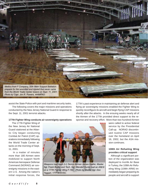

assist the State Police with port and maritime security tasks.

 The following covers the major missions and operations conducted by the New Jersey National Guard in response to the Sept. 11, 2001 terrorist attacks.

#### **177th Fighter Wing conducts air sovereignty operations**

 The 177th Fighter Wing of the New Jersey Air National Guard stationed at the Atlantic City began conducting Combat Air Patrol (CAP) operations immediately following the World Trade Center attacks on the morning of Sept. 11, 2001.

In a matter of minutes more than 180 Airmen were mobilized to support North American Aerospace Defense Command (NORAD) air sovereignty missions in the eastern U.S. Among the nation's initial response forces, the



Weapons load team (I-r) Senior Airman James Keefer, Master Sgt. Frank Buzby and Tech. Sgt. Wendell Hunte load an AIM-9 on a 177th Fighter Wing F-16C. Photo by Master Sgt. Don Taggart, 177FW/SVSC.

177th's past experience in maintaining air defense alert and flying air sovereignty missions enabled the Fighter Wing to quickly reconfigure its aircraft and begin flying CAP missions shortly after the attacks. In the ensuing weeks nearly all of the Airmen of the 177th provided direct support to the response and recovery effort. More than two hundred Airmen

were called to active federal service by the Presidential Call-up. NORAD discontinued routine CAP missions over the homeland on April 16, 2002, but the ASA mission continues.

#### **108th Air Refueling Wing provides critical support**

Although a significant portion of the organization was deployed to Incirlik Air Base in Turkey, the 108th Air Refueling Wing (108th ARW) immediately began preparing its people and aircraft to support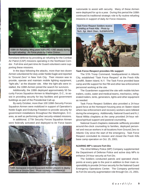

homeland defense by providing air refueling for the Combat Air Patrol (CAP) missions operating in the Northeast Corridor. Full-time and part-time Air Guard volunteers were supporting these missions.

In the days following the attacks, more than two dozen Airmen volunteered for duty under Noble Eagle and reported to "Ground Zero" in New York City. Their mission was to provide, operate and maintain mobile lighting equipment, "light-alls," at the disaster site. After the light-alls were installed, the 108th Airmen joined the search for survivors.

Additionally, the 108th deployed approximately 50 Security Forces Squadron Airmen to Washington, D.C., to assist in providing security for key facilities and government buildings as part of the Presidential Call-up.

By early October, more than 100 108th Security Forces Squadron Airmen were mobilized in support of Operation's Noble Eagle and Enduring Freedom to provide security for government installations throughout the Washington, D.C. area, as well as performing other security-related missions.

In additional, 177th Security Forces Squadron Airmen were federally activated and deployed to Air Force bases



108th Aerospace Ground Equipment Airmen prepare to deploy Light-Alls at Ground Zero. Photo courtesy 108ARW/AGE

nationwide to assist with security. Many of these Airmen were deployed for up to a year. During this period the 108th continued its traditional strategic role to fly routine refueling missions in support of daily Air Force missions.



#### **Task Force Respect provides life support**

The 57th Troop Command, headquartered in Atlantic City, established "Task Force Respect" at the Fresh Kills Landfill, Staten Island, N.Y. The Task Force provided base camp and life support for the FBI and other law enforcement personnel working at the site.

The Guardsmen supported the site with mobile kitchen trailers, cooks, water and medical teams, mechanics, refrigerated trailers, tents, generators, lights and other equipment as needed.

Task Force Respect Soldiers also provided a 24-hour guard force at the Homeport housing area on Staten Island where law enforcement and recovery workers were billeted during the emergency. Additionally, National Guard and N.J. Naval Militia chaplains at the camp provided 24-hour religious/spiritual support and pastoral counseling.

National Guard chaplains statewide selflessly provided around-the-clock counseling to families, deployed personnel and rescue workers in all locations from Ground Zero to Atlantic City since the start of the emergency. Task Force Respect concluded its mission and closed the Fresh Kills base camp operation on Oct. 25, 2001.

#### **NJARNG MP's secure Fort Dix**

The 42nd Military Police (MP) Company supplemented the Department of Defense Police and active duty MPs to enhance 24-hour security at Fort Dix.

The Soldiers conducted patrols and operated checkpoints at every gate to the post in addition to their main responsibility to provide 24-hour security for the National Guard Emergency Operations Center. The Company performed its Fort Dix security augmentation role through Oct. 21, 2001.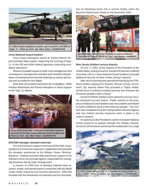

#### **Army National Guard Aviation**

Army Guard helicopters based at Trenton-Mercer Airport provided daily support, beginning the morning of Sept. 11, to the FBI and other federal agencies conducting postattack operations.

Missions included support to both crisis management and consequence management activities and included transportation of essential personnel and materials as well as site survey and surveillance over flights.

More than 110 missions were flown by 1st Battalion, 150th Aviation Blackhawk and Kiowa helicopters in direct support to the Sept. 11 attacks.



#### **DISCOM manages donated materials**

The 42nd Division Support Command (DISCOM), headquartered at Somerset organized, established and operated the donation warehouse at the Military Ocean Terminal, Bayonne. Soldiers provided daily warehouse support to the Salvation Army, the principal agency responsible for managing donations during major emergencies.

In excess of 4,000 tons of donated material were received, sorted, and warehoused in connection with the World Trade Center response and recovery operations. DISCOM assisted with the distribution of materials and the consolidation of remaining items into a central facility when the Bayonne Warehouse closed in mid November 2001.



International Airport. Photo by Capt. Jon Powers, 444MPAD.

#### **New Jersey Soldiers secure airports**

On Oct. 2, 2001, at the request of the President of the United States, Acting Governor Donald DiFrancesco ordered more than 150 N.J. Army National Guard Soldiers to provide additional security at three of New Jersey's airports.

After strict screening and specialized training by the FAA, these soldiers deployed to Newark, Mercer County, and Atlantic City airports where they provided a "highly visible, armed force to enhance existing security and reassure the American people's faith in flying."

Armed NJARNG Soldiers were stationed at every security checkpoint at each airport. Public reaction to the presence of National Guard Soldiers was very positive and helped to instill confidence back in the American people. This mission was completed once the Transportation Security Agency and new federal security measures were in place in the nation's airports.

In response to the President's call for increased National Guard presence at airports through the Holiday Season, Governor DiFrancesco authorized the mobilization of a surge



A 177th Fighter Wing F-16C on a Combat Air Patrol (CAP) on Oct. 7, 2001. Photo by Master Sgt. Don Taggart, 177FW/SVSC.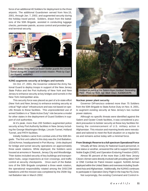force of an additional 40 Soldiers for deployment to the three airports. The additional Guardsmen served from Nov.15, 2001, through Jan. 7, 2002, and augmented security during the holiday travel period. Soldiers, drawn from the battalions of the 50th Brigade, assisted in conducting luggage checks, perimeter patrols, access control and provided general terminal security.



#### **NJNG augments security at bridges and tunnels**

On Oct. 27, 2001, the Governor ordered the Army National Guard to deploy troops in support of the New Jersey State Police and the Port Authority of New York and New Jersey to enhance security at key bridges and tunnels in the New York metropolitan area.

This security force was placed as part of a bi-state effort (New York and New Jersey) to enhance existing security at critical "high value" infrastructure and was not based on specific threats to these facilities. This unprecedented use of armed Soldiers in a "State Active Duty" role became a model for other states in the deployment of Guard Soldiers in support of civil authorities.

At it's peak, more than 200 Soldiers augmented police security at key Port Authority facilities in New Jersey including the George Washington Bridge, Lincoln Tunnel, Holland Tunnel, and PATH facilities.

Initially Soldiers came from combat units of the 50th Brigade. The first unit called to this duty was the 2nd Battalion, 102nd Armor, headquartered in Port Murray. Units deployed for bridge and tunnel security operations on approximately three week rotations. While deployed, the Soldiers were housed at armories in Teaneck, Jersey City and Woodbridge. Thier duties included security of key buildings and transportation hubs, cargo inspections at river crossings, and traffic control at security checkpoints. Once each of the Battalions of the 50th Brigade completed a three week rotation, the operational responsibility rotated among the DISCOM battalions until the mission was completed by the 250th Signal Battalion late in March 2002.



#### **Nuclear power plant security**

Governor DiFrancisco ordered more than 75 Soldiers from the 50th Brigade to State Active Duty on Nov. 8, 2001, to augment existing security at New Jersey's two nuclear power stations.

Although no specific threats were identified against the Salem and Oyster Creek facilities, it was considered a prudent precaution to bolster security at these key facilities following the commencement of U.S. military action in Afghanistan. This mission and manning levels were reevaluated and tailored to meet the fluid situation on a regular basis and remains active today with a minimal force.

#### **From Strategic Reserve to a full spectrum Operational Force**

Virtually all New Jersey Air National Guard personnel, in one status or another, answered the call to support Operation Noble Eagle (ONE) and Operation Enduring Freedom (OEF).

Almost 95 percent of the more than 2,400 New Jersey Citizen-Airmen were directly involved with providing either OEF or ONE Combat Air Patrol mission support. NJANG Airman deployed within the United States and overseas including Southwest Asia and Afghanistan. Additionally, the NJANG continues to participate in Operation Deny Flight in the Iraqi No Fly Zone.

Not surprisingly, the existing Command and Control in-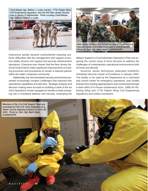Chief Master Sgt. William J. Loder (center), 177th Fighter Wing Civil Engineering Squadron, was the first New Jersey Guardsman to deploy to Afghanistan. Photo courtesy Chief Master Sgt. (retired) William J. Loder.



frastructure quickly became overburdened exposing systemic difficulties with the management and support of several widely diverse civil support and security enhancement operations. It became ever clearer that the New Jersey National Guard had to make significant improvements to existing processes and procedures to remain a relevant partner within the state's response community.

Additionally, the new homeland security environment presented increasingly complex challenges that required new operational capabilities and skill sets. Strategic analysis and decision making were focused on building a state of the art Joint Operations Center equipped to handle a newly emerging role in homeland defense and security, revamping the



Military Support to Civil Authorities Operations Plan and acquiring the correct array of force structure to address the challenges of contemporary operational environments both at home and abroad.

Governor James McGreevey dedicated NJDMVA's Homeland Security Center of Excellence in January 2003. The facility, to be used by the Department as a command and control center for emergency operations, was funded entirely from existing appropriations and constructed through a team effort of in-house maintenance force, 108th Air Refueling Wing and 177th Fighter Wing Civil Engineering Squadrons and civilian contractors.

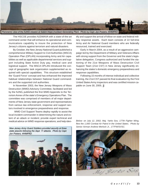

The HSCOE provides NJDMAVA with a state-of-the-art command center that will enhance its operational and communications capability to insure the protection of New Jersey's citizens against terrorism and natural disasters.

By October, the New Jersey National Guard published a comprehensive Military Support to Civil Authorities (MSCA) Operation Plan (OPLAN) incorporating Army and Air capabilities as well as applicable departmental services and support including State Active Duty pay, medical care and logistical support. The MSCA OPLAN introduced the concept of geographic task organization supplemented as required with special capabilities. This structure established the 'Guard Force' concept and has enhanced the improved habitual relationships between National Guard commanders and the supported civil authorities.

In November 2003, the New Jersey Weapons of Mass Destruction (WMD) Advisory Committee, facilitated and led by the NJNG, published the first WMD Appendix to the Terrorism Annex of the state's Emergency Operations Plan. The committee was comprised of members of all major departments of New Jersey state government and representatives from various law enforcement, response and support sectors involved in emergence preparedness and response.

 WMD Civil Support Teams deploy rapidly to assist the local incident commander in determining the nature and extent of an attack or incident; provide expert technical and medical advice on WMD response operations; and help identify and support the arrival of follow-on state and federal military response assets. Each team consists of 22 full-time Army and Air National Guard members who are federally resourced, trained and exercised.

Early in March 2004, as a result of an aggressive campaign led by the Department of Military and Veterans Affairs with strong support from the Governor and the state's legislative delegation, Congress authorized and funded the stationing of the 21st Weapons of Mass Destruction Civil Support Team (21st CST) in New Jersey significantly enhancing the states's domestic emergency preparedness and response capabilities.

Following 15 months of intense individual and collective training, the 21st CST passed its final evaluation by the First United States Army inspectors and was certified mission capable on June 30, 2005. 5



*Below: on July 12, 2002, Maj. Yarko Sos, 177th Fighter Wing, flew the 1,000 Combat Air Patrol in the United States. Photo by Senior Airman Andrew Merlock Jr., 177FW/SVSC.*

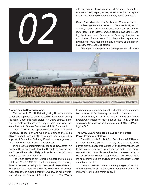

other operational locations included Germany, Spain, Italy, France, Kuwait, Japan, Korea, Panama, and to Turkey and Saudi Arabia to help enforce the no-fly zones over Iraq.

#### **Guard Placed on alert for September 11 anniversary**

Following the announcement on Sept. 10, 2002, by U.S. Attorney General John Ashcroft and Homeland Security Director Tom Ridge that there was a credible basis for increasing the threat level, Governor McGreevey directed the mobilization of more than 400 Soldiers to be prepared and available for rapid response to any incidents on the first anniversary of the Sept. 11 attacks.

Contingency force personnel were positioned at various



108th Air Refueling Wing Airmen pose for a group photo in Oman in support of Operation Enduring Freedom. Photo courtesy 108ARWPA

#### **Airmen sent to Southwest Asia**

Two hundred 108th Air Refueling Wing Airmen were mobilized and deployed to Oman as part of Operation Enduring Freedom. Under this mobilization, Air Guard aircrew members, aircraft mechanics and support personnel were assigned as part of the Air Force's Air Mobility Command.

Their mission was to support combat missions with aerial refueling. These men and women are among the 108th ARW's several hundred Citizen-Airmen who mobilized in support of Operation Enduring Freedom, which generally refers to military operations in Afghanistan.

In April 2002, approximately 30 additional New Jersey Air National Guard Airmen deployed to Oman to relieve their fellow Citizen-Airmen who initially mobilized when the 108th was tasked to provide aerial refueling.

The 108th provided air refueling support and strategic airlift with 20 KC-135E Stratotankers, making it one of only three "Super (tanker) Wings" in the entire Air National Guard. The Super Wing status enabled the 108th to continue normal operations in support of routine worldwide military missions during its Southwest Asia deployment. The Wing's

locations to prepare equipment and establish communication networks to facilitate a quick reaction if needed.

Concurrently, 177th Airmen and F-16 Fighting Falcon aircraft were placed on federal active duty to fly CAP missions over the northeast including New York City and Washington, D.C.

#### **The Army Guard mobilizes in support of Fort Dix Power Projection Platform**

The 444th Mobile Public Affairs Detachment (MPAD) and the 150th Adjutant General Company were called to active duty to provide public affairs support and personnel services to the Soldier Readiness Processing and mobilization activities at Fort Dix. Fort Dix served as the northeast's principal Power Projection Platform responsible for mobilizing, training and certifying Guard and Reserve units for deployment to operational theaters.

The 444th MPAD covered the early stages of the most significant mobilization of the reserve component of the U.S. military since the Gulf War in 1991. 3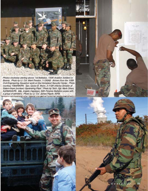Photos clockwise starting above: 1st Battalion, 150th Aviation Soldiers in Bosnia. Photo by Lt. Col. Mark Preston, 1-150AB. Airmen from the 108th Civil Engineering Squadron work on the Homeland Security Center. Photo courtesy 108ARW/PA. Spc. Quron B. Wynn, 2-113th Infantry Division at Salem-Hope (nuclear) Generating Plant. Photo by Tech. Sgt. Mark Olsen, NJDMAVA/PA. Maj. Angelo Capolupo, 50th Finance Battalion poses with a group of admirers. Photo by Lt. Col. James Pippitt, 50FB.

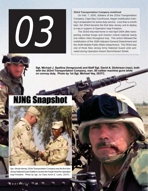#### **253rd Transportation Company mobilized**

On Feb. 7, 2003, Soldiers of the 253rd Transportation Company, Cape May Courthouse, began mobilization training in preparation for active duty service. Less than a month later, the 253rd became the first New Jersey unit to deploy to Iraq in support of Operation Iraqi Freedom.

The 253rd returned home in mid-April 2004 after transporting combat troops and mission critical material nearly one million miles throughout Iraq. This action followed the mobilization of the 150th Adjutant General Detachment and the 444th Mobile Public Affairs Detachment. The 253rd was one of three New Jersey Army National Guard units activated during Operation Desert Storm/Desert Shield.

Sgt. Michael J. Spallina (foreground) and Staff Sgt. David A. Dickinson (rear), both with the 253rd Transportation Company, man .50 caliber machine guns while on convoy duty. Photo by 1st Sgt. Michael Vey, 253TC.

# **NJNG Snapshot**

03



*Spc. Nicola Harvey, 253rd Transportation Company was the first New Jersey National Guard Soldier to receive the Purple Heart for Operation Iraqi Freedom. Photo by Sgt. 1st Class Kevin E. Lewis, 253TC.*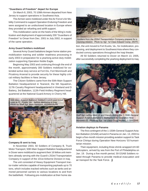#### **"Guardians of Freedom" depart for Europe**

On March 8, 2003, 70 108th Airmen departed from New Jersey to support operations in Southwest Asia.

The Airmen were mobilized under the Air Force's Air Mobility Command to support Operation Enduring Freedom and were assigned to an undisclosed location in Europe where they provided air refueling and airlift support.

This mobilization came on the heels of the Wing's mobilization and deployment of approximately 200 "Guardians of Freedom" to Oman from Dec. 2001 to July 2002, in support of the same operation.

#### **Army Guard Soldiers mobilized**

Several Army Guard battalions began home station premobilization training and soldier readiness processing in early 2003 in preparation for a yearlong active duty mobilization supporting Operation Noble Eagle.

Beginning May 2003 and continuing through the end of the month, approximately 300 Soldiers mobilized for extended active duty service at Fort Dix, Fort Monmouth and Picatinny Arsenal to provide security for these highly critical military facilities in New Jersey.

The Citizen-Soldiers came from the 50th Main Support Battalion headquartered in Teaneck; the 5th Squadron, 117th Cavalry Regiment headquartered in Vineland and D Battery, 3rd Battalion, 112th Field Artillery Regiment headquartered at the National Guard Armory in Cherry Hill.



#### **Company B sent to Iraq**

In November 2003, 50 Soldiers of Company B, Truck Motor Transport, 50th Main Support Battalion headquartered in Dover were mobilized to augment their 16 fellow unit members already serving with the Guard's 253rd Transportation Company in support of the 101st Airborne Division in Iraq.

The unit consisted of Heavy Equipment Transport tractor-trailer vehicles capable of transporting payloads up to 70 tons, which includes tracked vehicles such as tanks and armored personnel carriers to various locations to and from the battlefield. Following pre-mobilization at their home sta-



Soldiers from the 253rd Transportation Company prepare for a morning mission. Photo by Sgt. 1st Class Edward Camp, 253TC.

tion, the unit moved to Fort Eustis, Va., for mobilization, processing, and deployment to Southwest Asia where they conducted convoy operations throughout the Iraqi theater.

All 50 Soldiers returned to Dover on March 13, 2005, after successfully completing the yearlong deployment to Iraq.



Staff Sgt. LeRoy Metz Jr. and friends during the 1-150th General Support Aviation Battalion's deployment for Operation New Horizons 03. Photo by Sgt. 1st Class Doug McNell, 1-150GSAB.

#### **Aviation deploys to Panama**

The first contingent of the 1-150th General Support Aviation Battalion (GSAB) arrived in Panama on Jan. 13, 2003 to begin a five-month mission providing aviation support to Task Force Chiriqui during Operation New Horizons '03 humanitarian mission.

Their equipment, including three shrink-wrapped UH-60 helicopters, arrived by sea from the Port of Philadelphia on Jan. 19. During a five month period, 59 GSAB Soldiers rotated through Panama to provide medical evacuation and air transport for the Task Force.